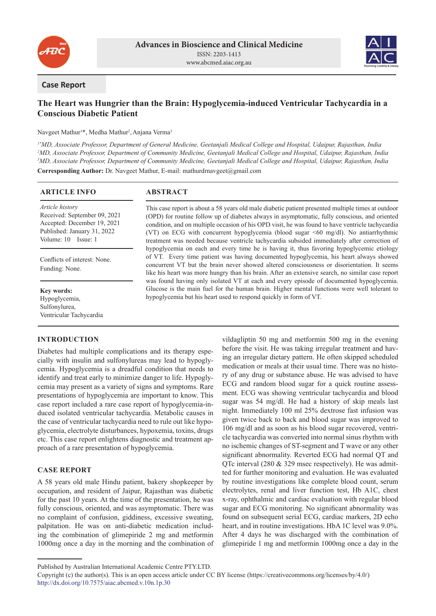



### **Case Report**

# **The Heart was Hungrier than the Brain: Hypoglycemia-induced Ventricular Tachycardia in a Conscious Diabetic Patient**

Navgeet Mathur<sup>1</sup>\*, Medha Mathur<sup>2</sup>, Anjana Verma<sup>3</sup>

*1\*MD, Associate Professor, Department of General Medicine, Geetanjali Medical College and Hospital, Udaipur, Rajasthan, India 2 MD, Associate Professor, Department of Community Medicine, Geetanjali Medical College and Hospital, Udaipur, Rajasthan, India 3 MD, Associate Professor, Department of Community Medicine, Geetanjali Medical College and Hospital, Udaipur, Rajasthan, India*

**Corresponding Author:** Dr. Navgeet Mathur, E-mail: mathurdrnavgeet@gmail.com

### **ARTICLE INFO**

*Article history* Received: September 09, 2021 Accepted: December 19, 2021 Published: January 31, 2022 Volume: 10 Issue: 1

Conflicts of interest: None. Funding: None.

**Key words:** Hypoglycemia, Sulfonylurea, Ventricular Tachycardia

# **INTRODUCTION**

**ABSTRACT**

This case report is about a 58 years old male diabetic patient presented multiple times at outdoor (OPD) for routine follow up of diabetes always in asymptomatic, fully conscious, and oriented condition, and on multiple occasion of his OPD visit, he was found to have ventricle tachycardia (VT) on ECG with concurrent hypoglycemia (blood sugar <60 mg/dl). No antiarrhythmic treatment was needed because ventricle tachycardia subsided immediately after correction of hypoglycemia on each and every time he is having it, thus favoring hypoglycemic etiology of VT. Every time patient was having documented hypoglycemia, his heart always showed concurrent VT but the brain never showed altered consciousness or disorientation. It seems like his heart was more hungry than his brain. After an extensive search, no similar case report was found having only isolated VT at each and every episode of documented hypoglycemia. Glucose is the main fuel for the human brain. Higher mental functions were well tolerant to hypoglycemia but his heart used to respond quickly in form of VT.

Diabetes had multiple complications and its therapy especially with insulin and sulfonylureas may lead to hypoglycemia. Hypoglycemia is a dreadful condition that needs to identify and treat early to minimize danger to life. Hypoglycemia may present as a variety of signs and symptoms. Rare presentations of hypoglycemia are important to know. This case report included a rare case report of hypoglycemia-induced isolated ventricular tachycardia. Metabolic causes in the case of ventricular tachycardia need to rule out like hypoglycemia, electrolyte disturbances, hypoxemia, toxins, drugs etc. This case report enlightens diagnostic and treatment approach of a rare presentation of hypoglycemia.

# **CASE REPORT**

A 58 years old male Hindu patient, bakery shopkeeper by occupation, and resident of Jaipur, Rajasthan was diabetic for the past 10 years. At the time of the presentation, he was fully conscious, oriented, and was asymptomatic. There was no complaint of confusion, giddiness, excessive sweating, palpitation. He was on anti-diabetic medication including the combination of glimepiride 2 mg and metformin 1000mg once a day in the morning and the combination of vildagliptin 50 mg and metformin 500 mg in the evening before the visit. He was taking irregular treatment and having an irregular dietary pattern. He often skipped scheduled medication or meals at their usual time. There was no history of any drug or substance abuse. He was advised to have ECG and random blood sugar for a quick routine assessment. ECG was showing ventricular tachycardia and blood sugar was 54 mg/dl. He had a history of skip meals last night. Immediately 100 ml 25% dextrose fast infusion was given twice back to back and blood sugar was improved to 106 mg/dl and as soon as his blood sugar recovered, ventricle tachycardia was converted into normal sinus rhythm with no ischemic changes of ST-segment and T wave or any other significant abnormality. Reverted ECG had normal QT and QTc interval (280 & 329 msec respectively). He was admitted for further monitoring and evaluation. He was evaluated by routine investigations like complete blood count, serum electrolytes, renal and liver function test, Hb A1C, chest x-ray, ophthalmic and cardiac evaluation with regular blood sugar and ECG monitoring. No significant abnormality was found on subsequent serial ECG, cardiac markers, 2D echo heart, and in routine investigations. HbA 1C level was 9.0%. After 4 days he was discharged with the combination of glimepiride 1 mg and metformin 1000mg once a day in the

Published by Australian International Academic Centre PTY.LTD.

Copyright (c) the author(s). This is an open access article under CC BY license (https://creativecommons.org/licenses/by/4.0/) http://dx.doi.org/10.7575/aiac.abcmed.v.10n.1p.30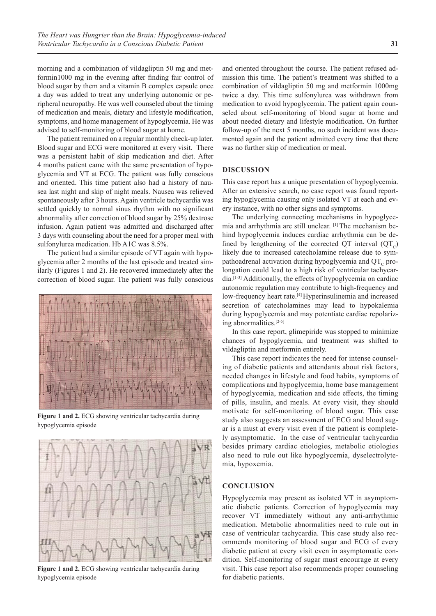morning and a combination of vildagliptin 50 mg and metformin1000 mg in the evening after finding fair control of blood sugar by them and a vitamin B complex capsule once a day was added to treat any underlying autonomic or peripheral neuropathy. He was well counseled about the timing of medication and meals, dietary and lifestyle modification, symptoms, and home management of hypoglycemia. He was advised to self-monitoring of blood sugar at home.

The patient remained on a regular monthly check-up later. Blood sugar and ECG were monitored at every visit. There was a persistent habit of skip medication and diet. After 4 months patient came with the same presentation of hypoglycemia and VT at ECG. The patient was fully conscious and oriented. This time patient also had a history of nausea last night and skip of night meals. Nausea was relieved spontaneously after 3 hours. Again ventricle tachycardia was settled quickly to normal sinus rhythm with no significant abnormality after correction of blood sugar by 25% dextrose infusion. Again patient was admitted and discharged after 3 days with counseling about the need for a proper meal with sulfonylurea medication. Hb A1C was 8.5%.

The patient had a similar episode of VT again with hypoglycemia after 2 months of the last episode and treated similarly (Figures 1 and 2). He recovered immediately after the correction of blood sugar. The patient was fully conscious



**Figure 1 and 2.** ECG showing ventricular tachycardia during hypoglycemia episode



**Figure 1 and 2.** ECG showing ventricular tachycardia during hypoglycemia episode

and oriented throughout the course. The patient refused admission this time. The patient's treatment was shifted to a combination of vildagliptin 50 mg and metformin 1000mg twice a day. This time sulfonylurea was withdrawn from medication to avoid hypoglycemia. The patient again counseled about self-monitoring of blood sugar at home and about needed dietary and lifestyle modification. On further follow-up of the next 5 months, no such incident was documented again and the patient admitted every time that there was no further skip of medication or meal.

#### **DISCUSSION**

This case report has a unique presentation of hypoglycemia. After an extensive search, no case report was found reporting hypoglycemia causing only isolated VT at each and every instance, with no other signs and symptoms.

The underlying connecting mechanisms in hypoglycemia and arrhythmia are still unclear. [1] The mechanism behind hypoglycemia induces cardiac arrhythmia can be defined by lengthening of the corrected QT interval  $(QT<sub>c</sub>)$ likely due to increased catecholamine release due to sympathoadrenal activation during hypoglycemia and  $QT<sub>c</sub>$  prolongation could lead to a high risk of ventricular tachycardia.[1-3] Additionally, the effects of hypoglycemia on cardiac autonomic regulation may contribute to high-frequency and low-frequency heart rate.<sup>[4]</sup> Hyperinsulinemia and increased secretion of catecholamines may lead to hypokalemia during hypoglycemia and may potentiate cardiac repolarizing abnormalities.[2-5]

In this case report, glimepiride was stopped to minimize chances of hypoglycemia, and treatment was shifted to vildagliptin and metformin entirely.

This case report indicates the need for intense counseling of diabetic patients and attendants about risk factors, needed changes in lifestyle and food habits, symptoms of complications and hypoglycemia, home base management of hypoglycemia, medication and side effects, the timing of pills, insulin, and meals. At every visit, they should motivate for self-monitoring of blood sugar. This case study also suggests an assessment of ECG and blood sugar is a must at every visit even if the patient is completely asymptomatic. In the case of ventricular tachycardia besides primary cardiac etiologies, metabolic etiologies also need to rule out like hypoglycemia, dyselectrolytemia, hypoxemia.

# **CONCLUSION**

Hypoglycemia may present as isolated VT in asymptomatic diabetic patients. Correction of hypoglycemia may recover VT immediately without any anti-arrhythmic medication. Metabolic abnormalities need to rule out in case of ventricular tachycardia. This case study also recommends monitoring of blood sugar and ECG of every diabetic patient at every visit even in asymptomatic condition. Self-monitoring of sugar must encourage at every visit. This case report also recommends proper counseling for diabetic patients.